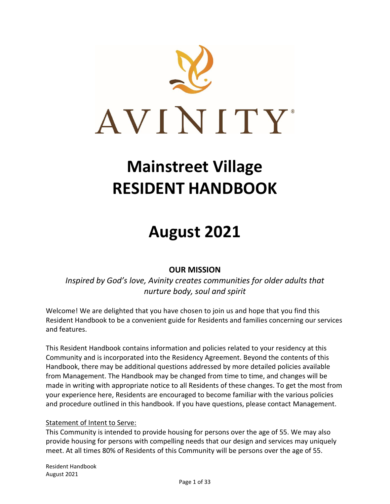

# **Mainstreet Village RESIDENT HANDBOOK**

# **August 2021**

# **OUR MISSION**

*Inspired by God's love, Avinity creates communities for older adults that nurture body, soul and spirit*

Welcome! We are delighted that you have chosen to join us and hope that you find this Resident Handbook to be a convenient guide for Residents and families concerning our services and features.

This Resident Handbook contains information and policies related to your residency at this Community and is incorporated into the Residency Agreement. Beyond the contents of this Handbook, there may be additional questions addressed by more detailed policies available from Management. The Handbook may be changed from time to time, and changes will be made in writing with appropriate notice to all Residents of these changes. To get the most from your experience here, Residents are encouraged to become familiar with the various policies and procedure outlined in this handbook. If you have questions, please contact Management.

#### Statement of Intent to Serve:

This Community is intended to provide housing for persons over the age of 55. We may also provide housing for persons with compelling needs that our design and services may uniquely meet. At all times 80% of Residents of this Community will be persons over the age of 55.

Resident Handbook August 2021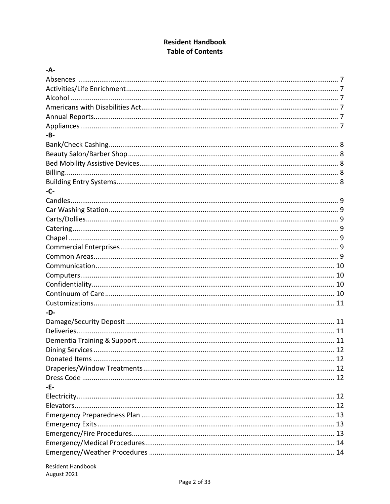# **Resident Handbook Table of Contents**

| $-A-$ |  |
|-------|--|
|       |  |
|       |  |
|       |  |
|       |  |
|       |  |
|       |  |
| $-B-$ |  |
|       |  |
|       |  |
|       |  |
|       |  |
|       |  |
| -C-   |  |
|       |  |
|       |  |
|       |  |
|       |  |
|       |  |
|       |  |
|       |  |
|       |  |
|       |  |
|       |  |
|       |  |
|       |  |
| -D-   |  |
|       |  |
|       |  |
|       |  |
|       |  |
|       |  |
|       |  |
|       |  |
| -E-   |  |
|       |  |
|       |  |
|       |  |
|       |  |
|       |  |
|       |  |
|       |  |
|       |  |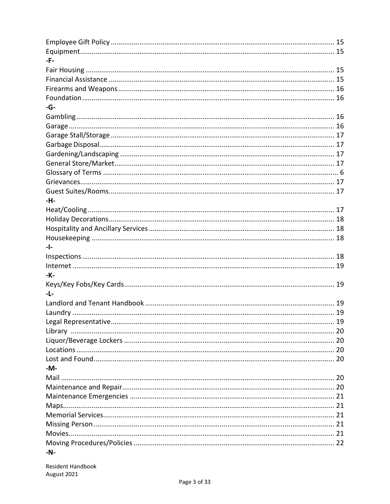| -F-    |  |
|--------|--|
|        |  |
|        |  |
|        |  |
|        |  |
| $-G-$  |  |
|        |  |
|        |  |
|        |  |
|        |  |
|        |  |
|        |  |
|        |  |
|        |  |
|        |  |
| -H-    |  |
|        |  |
|        |  |
|        |  |
|        |  |
| $-1-$  |  |
|        |  |
|        |  |
| -К-    |  |
|        |  |
| $-L-$  |  |
|        |  |
|        |  |
|        |  |
|        |  |
|        |  |
|        |  |
|        |  |
| $-M -$ |  |
|        |  |
|        |  |
|        |  |
|        |  |
|        |  |
|        |  |
|        |  |
|        |  |
|        |  |
| $-N-$  |  |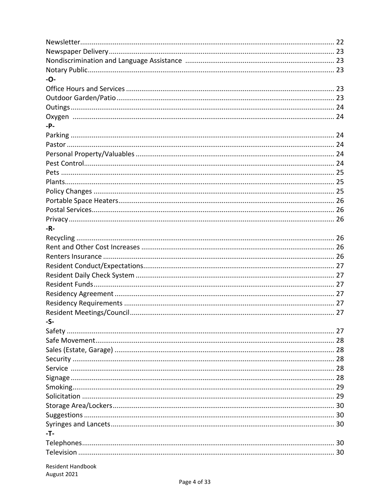| -0-                      |  |
|--------------------------|--|
|                          |  |
|                          |  |
|                          |  |
|                          |  |
| -P-                      |  |
|                          |  |
|                          |  |
|                          |  |
|                          |  |
|                          |  |
|                          |  |
|                          |  |
|                          |  |
|                          |  |
|                          |  |
| -R-                      |  |
|                          |  |
|                          |  |
|                          |  |
|                          |  |
|                          |  |
|                          |  |
|                          |  |
|                          |  |
|                          |  |
|                          |  |
| -5-                      |  |
|                          |  |
|                          |  |
|                          |  |
|                          |  |
|                          |  |
|                          |  |
|                          |  |
|                          |  |
|                          |  |
|                          |  |
|                          |  |
| -T-                      |  |
|                          |  |
|                          |  |
| <b>Resident Handbook</b> |  |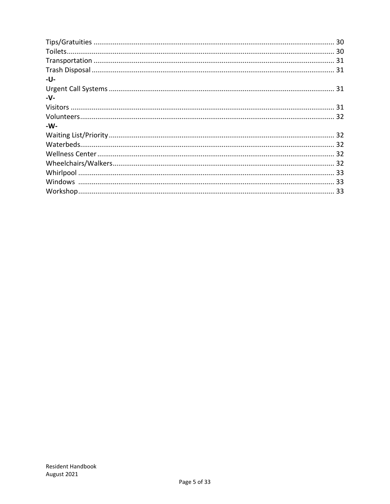| -U-    |  |
|--------|--|
|        |  |
| $-V -$ |  |
|        |  |
|        |  |
| $-W-$  |  |
|        |  |
|        |  |
|        |  |
|        |  |
|        |  |
|        |  |
|        |  |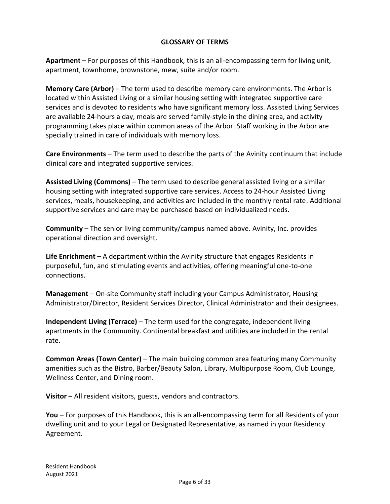## **GLOSSARY OF TERMS**

**Apartment** – For purposes of this Handbook, this is an all-encompassing term for living unit, apartment, townhome, brownstone, mew, suite and/or room.

**Memory Care (Arbor)** – The term used to describe memory care environments. The Arbor is located within Assisted Living or a similar housing setting with integrated supportive care services and is devoted to residents who have significant memory loss. Assisted Living Services are available 24-hours a day, meals are served family-style in the dining area, and activity programming takes place within common areas of the Arbor. Staff working in the Arbor are specially trained in care of individuals with memory loss.

**Care Environments** – The term used to describe the parts of the Avinity continuum that include clinical care and integrated supportive services.

**Assisted Living (Commons)** – The term used to describe general assisted living or a similar housing setting with integrated supportive care services. Access to 24-hour Assisted Living services, meals, housekeeping, and activities are included in the monthly rental rate. Additional supportive services and care may be purchased based on individualized needs.

**Community** – The senior living community/campus named above. Avinity, Inc. provides operational direction and oversight.

**Life Enrichment** – A department within the Avinity structure that engages Residents in purposeful, fun, and stimulating events and activities, offering meaningful one-to-one connections.

**Management** – On-site Community staff including your Campus Administrator, Housing Administrator/Director, Resident Services Director, Clinical Administrator and their designees.

**Independent Living (Terrace)** – The term used for the congregate, independent living apartments in the Community. Continental breakfast and utilities are included in the rental rate.

**Common Areas (Town Center)** – The main building common area featuring many Community amenities such as the Bistro, Barber/Beauty Salon, Library, Multipurpose Room, Club Lounge, Wellness Center, and Dining room.

**Visitor** – All resident visitors, guests, vendors and contractors.

**You** – For purposes of this Handbook, this is an all-encompassing term for all Residents of your dwelling unit and to your Legal or Designated Representative, as named in your Residency Agreement.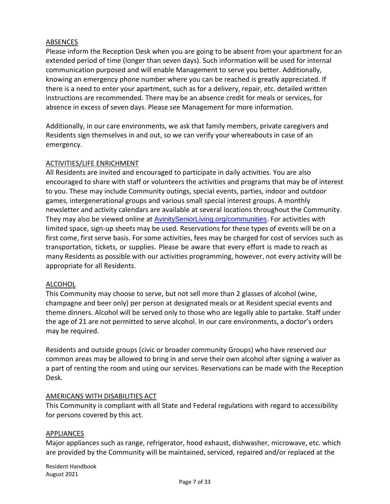## ABSENCES

Please inform the Reception Desk when you are going to be absent from your apartment for an extended period of time (longer than seven days). Such information will be used for internal communication purposed and will enable Management to serve you better. Additionally, knowing an emergency phone number where you can be reached is greatly appreciated. If there is a need to enter your apartment, such as for a delivery, repair, etc. detailed written instructions are recommended. There may be an absence credit for meals or services, for absence in excess of seven days. Please see Management for more information.

Additionally, in our care environments, we ask that family members, private caregivers and Residents sign themselves in and out, so we can verify your whereabouts in case of an emergency.

#### ACTIVITIES/LIFE ENRICHMENT

All Residents are invited and encouraged to participate in daily activities. You are also encouraged to share with staff or volunteers the activities and programs that may be of interest to you. These may include Community outings, special events, parties, indoor and outdoor games, intergenerational groups and various small special interest groups. A monthly newsletter and activity calendars are available at several locations throughout the Community. They may also be viewed online at AvinitySeniorLiving.org/communities. For activities with limited space, sign-up sheets may be used. Reservations for these types of events will be on a first come, first serve basis. For some activities, fees may be charged for cost of services such as transportation, tickets, or supplies. Please be aware that every effort is made to reach as many Residents as possible with our activities programming, however, not every activity will be appropriate for all Residents.

#### ALCOHOL

This Community may choose to serve, but not sell more than 2 glasses of alcohol (wine, champagne and beer only) per person at designated meals or at Resident special events and theme dinners. Alcohol will be served only to those who are legally able to partake. Staff under the age of 21 are not permitted to serve alcohol. In our care environments, a doctor's orders may be required.

Residents and outside groups (civic or broader community Groups) who have reserved our common areas may be allowed to bring in and serve their own alcohol after signing a waiver as a part of renting the room and using our services. Reservations can be made with the Reception Desk.

#### AMERICANS WITH DISABILITIES ACT

This Community is compliant with all State and Federal regulations with regard to accessibility for persons covered by this act.

#### APPLIANCES

Major appliances such as range, refrigerator, hood exhaust, dishwasher, microwave, etc. which are provided by the Community will be maintained, serviced, repaired and/or replaced at the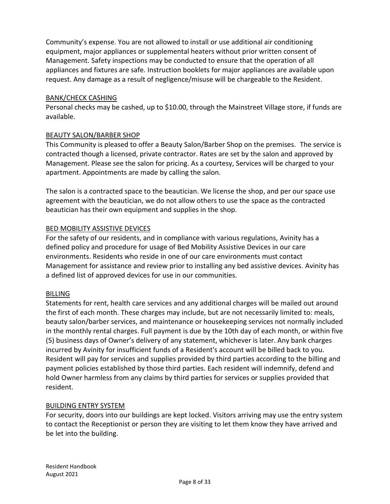Community's expense. You are not allowed to install or use additional air conditioning equipment, major appliances or supplemental heaters without prior written consent of Management. Safety inspections may be conducted to ensure that the operation of all appliances and fixtures are safe. Instruction booklets for major appliances are available upon request. Any damage as a result of negligence/misuse will be chargeable to the Resident.

## BANK/CHECK CASHING

Personal checks may be cashed, up to \$10.00, through the Mainstreet Village store, if funds are available.

## BEAUTY SALON/BARBER SHOP

This Community is pleased to offer a Beauty Salon/Barber Shop on the premises. The service is contracted though a licensed, private contractor. Rates are set by the salon and approved by Management. Please see the salon for pricing. As a courtesy, Services will be charged to your apartment. Appointments are made by calling the salon.

The salon is a contracted space to the beautician. We license the shop, and per our space use agreement with the beautician, we do not allow others to use the space as the contracted beautician has their own equipment and supplies in the shop.

## BED MOBILITY ASSISTIVE DEVICES

For the safety of our residents, and in compliance with various regulations, Avinity has a defined policy and procedure for usage of Bed Mobility Assistive Devices in our care environments. Residents who reside in one of our care environments must contact Management for assistance and review prior to installing any bed assistive devices. Avinity has a defined list of approved devices for use in our communities.

#### BILLING

Statements for rent, health care services and any additional charges will be mailed out around the first of each month. These charges may include, but are not necessarily limited to: meals, beauty salon/barber services, and maintenance or housekeeping services not normally included in the monthly rental charges. Full payment is due by the 10th day of each month, or within five (5) business days of Owner's delivery of any statement, whichever is later. Any bank charges incurred by Avinity for insufficient funds of a Resident's account will be billed back to you. Resident will pay for services and supplies provided by third parties according to the billing and payment policies established by those third parties. Each resident will indemnify, defend and hold Owner harmless from any claims by third parties for services or supplies provided that resident.

#### BUILDING ENTRY SYSTEM

For security, doors into our buildings are kept locked. Visitors arriving may use the entry system to contact the Receptionist or person they are visiting to let them know they have arrived and be let into the building.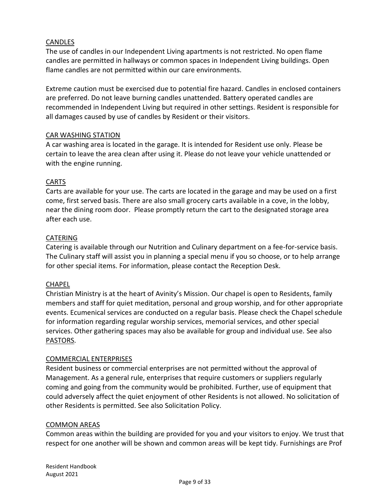## CANDLES

The use of candles in our Independent Living apartments is not restricted. No open flame candles are permitted in hallways or common spaces in Independent Living buildings. Open flame candles are not permitted within our care environments.

Extreme caution must be exercised due to potential fire hazard. Candles in enclosed containers are preferred. Do not leave burning candles unattended. Battery operated candles are recommended in Independent Living but required in other settings. Resident is responsible for all damages caused by use of candles by Resident or their visitors.

#### CAR WASHING STATION

A car washing area is located in the garage. It is intended for Resident use only. Please be certain to leave the area clean after using it. Please do not leave your vehicle unattended or with the engine running.

## CARTS

Carts are available for your use. The carts are located in the garage and may be used on a first come, first served basis. There are also small grocery carts available in a cove, in the lobby, near the dining room door. Please promptly return the cart to the designated storage area after each use.

#### CATERING

Catering is available through our Nutrition and Culinary department on a fee-for-service basis. The Culinary staff will assist you in planning a special menu if you so choose, or to help arrange for other special items. For information, please contact the Reception Desk.

#### **CHAPEL**

Christian Ministry is at the heart of Avinity's Mission. Our chapel is open to Residents, family members and staff for quiet meditation, personal and group worship, and for other appropriate events. Ecumenical services are conducted on a regular basis. Please check the Chapel schedule for information regarding regular worship services, memorial services, and other special services. Other gathering spaces may also be available for group and individual use. See also PASTORS.

#### COMMERCIAL ENTERPRISES

Resident business or commercial enterprises are not permitted without the approval of Management. As a general rule, enterprises that require customers or suppliers regularly coming and going from the community would be prohibited. Further, use of equipment that could adversely affect the quiet enjoyment of other Residents is not allowed. No solicitation of other Residents is permitted. See also Solicitation Policy.

#### COMMON AREAS

Common areas within the building are provided for you and your visitors to enjoy. We trust that respect for one another will be shown and common areas will be kept tidy. Furnishings are Prof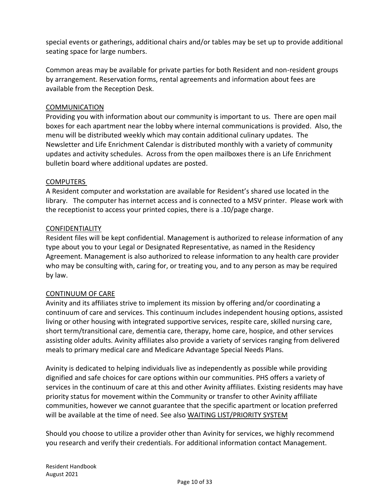special events or gatherings, additional chairs and/or tables may be set up to provide additional seating space for large numbers.

Common areas may be available for private parties for both Resident and non-resident groups by arrangement. Reservation forms, rental agreements and information about fees are available from the Reception Desk.

## **COMMUNICATION**

Providing you with information about our community is important to us. There are open mail boxes for each apartment near the lobby where internal communications is provided. Also, the menu will be distributed weekly which may contain additional culinary updates. The Newsletter and Life Enrichment Calendar is distributed monthly with a variety of community updates and activity schedules. Across from the open mailboxes there is an Life Enrichment bulletin board where additional updates are posted.

#### **COMPUTERS**

A Resident computer and workstation are available for Resident's shared use located in the library. The computer has internet access and is connected to a MSV printer. Please work with the receptionist to access your printed copies, there is a .10/page charge.

#### CONFIDENTIALITY

Resident files will be kept confidential. Management is authorized to release information of any type about you to your Legal or Designated Representative, as named in the Residency Agreement. Management is also authorized to release information to any health care provider who may be consulting with, caring for, or treating you, and to any person as may be required by law.

#### CONTINUUM OF CARE

Avinity and its affiliates strive to implement its mission by offering and/or coordinating a continuum of care and services. This continuum includes independent housing options, assisted living or other housing with integrated supportive services, respite care, skilled nursing care, short term/transitional care, dementia care, therapy, home care, hospice, and other services assisting older adults. Avinity affiliates also provide a variety of services ranging from delivered meals to primary medical care and Medicare Advantage Special Needs Plans.

Avinity is dedicated to helping individuals live as independently as possible while providing dignified and safe choices for care options within our communities. PHS offers a variety of services in the continuum of care at this and other Avinity affiliates. Existing residents may have priority status for movement within the Community or transfer to other Avinity affiliate communities, however we cannot guarantee that the specific apartment or location preferred will be available at the time of need. See also WAITING LIST/PRIORITY SYSTEM

Should you choose to utilize a provider other than Avinity for services, we highly recommend you research and verify their credentials. For additional information contact Management.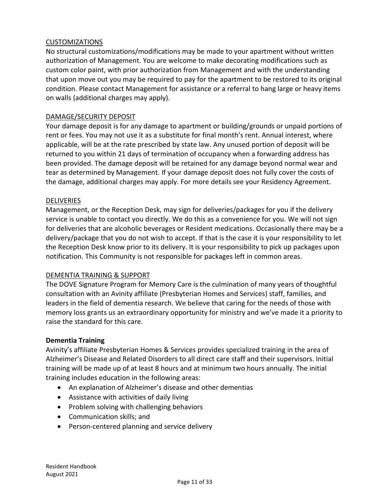## CUSTOMIZATIONS

No structural customizations/modifications may be made to your apartment without written authorization of Management. You are welcome to make decorating modifications such as custom color paint, with prior authorization from Management and with the understanding that upon move out you may be required to pay for the apartment to be restored to its original condition. Please contact Management for assistance or a referral to hang large or heavy items on walls (additional charges may apply).

#### DAMAGE/SECURITY DEPOSIT

Your damage deposit is for any damage to apartment or building/grounds or unpaid portions of rent or fees. You may not use it as a substitute for final month's rent. Annual interest, where applicable, will be at the rate prescribed by state law. Any unused portion of deposit will be returned to you within 21 days of termination of occupancy when a forwarding address has been provided. The damage deposit will be retained for any damage beyond normal wear and tear as determined by Management. If your damage deposit does not fully cover the costs of the damage, additional charges may apply. For more details see your Residency Agreement.

#### **DELIVERIES**

Management, or the Reception Desk, may sign for deliveries/packages for you if the delivery service is unable to contact you directly. We do this as a convenience for you. We will not sign for deliveries that are alcoholic beverages or Resident medications. Occasionally there may be a delivery/package that you do not wish to accept. If that is the case it is your responsibility to let the Reception Desk know prior to its delivery. It is your responsibility to pick up packages upon notification. This Community is not responsible for packages left in common areas.

#### DEMENTIA TRAINING & SUPPORT

The DOVE Signature Program for Memory Care is the culmination of many years of thoughtful consultation with an Avinity affiliate (Presbyterian Homes and Services) staff, families, and leaders in the field of dementia research. We believe that caring for the needs of those with memory loss grants us an extraordinary opportunity for ministry and we've made it a priority to raise the standard for this care.

#### **Dementia Training**

Avinity's affiliate Presbyterian Homes & Services provides specialized training in the area of Alzheimer's Disease and Related Disorders to all direct care staff and their supervisors. Initial training will be made up of at least 8 hours and at minimum two hours annually. The initial training includes education in the following areas:

- An explanation of Alzheimer's disease and other dementias
- Assistance with activities of daily living
- Problem solving with challenging behaviors
- Communication skills; and
- Person-centered planning and service delivery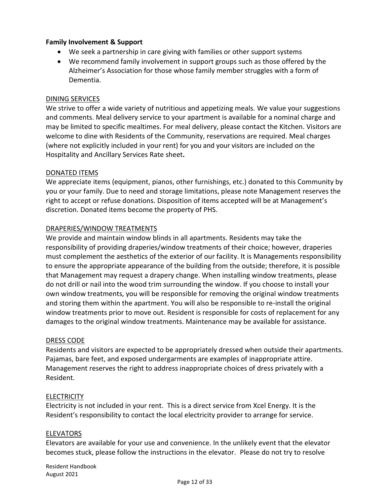## **Family Involvement & Support**

- We seek a partnership in care giving with families or other support systems
- We recommend family involvement in support groups such as those offered by the Alzheimer's Association for those whose family member struggles with a form of Dementia.

## DINING SERVICES

We strive to offer a wide variety of nutritious and appetizing meals. We value your suggestions and comments. Meal delivery service to your apartment is available for a nominal charge and may be limited to specific mealtimes. For meal delivery, please contact the Kitchen. Visitors are welcome to dine with Residents of the Community, reservations are required. Meal charges (where not explicitly included in your rent) for you and your visitors are included on the Hospitality and Ancillary Services Rate sheet**.** 

## DONATED ITEMS

We appreciate items (equipment, pianos, other furnishings, etc.) donated to this Community by you or your family. Due to need and storage limitations, please note Management reserves the right to accept or refuse donations. Disposition of items accepted will be at Management's discretion. Donated items become the property of PHS.

## DRAPERIES/WINDOW TREATMENTS

We provide and maintain window blinds in all apartments. Residents may take the responsibility of providing draperies/window treatments of their choice; however, draperies must complement the aesthetics of the exterior of our facility. It is Managements responsibility to ensure the appropriate appearance of the building from the outside; therefore, it is possible that Management may request a drapery change. When installing window treatments, please do not drill or nail into the wood trim surrounding the window. If you choose to install your own window treatments, you will be responsible for removing the original window treatments and storing them within the apartment. You will also be responsible to re-install the original window treatments prior to move out. Resident is responsible for costs of replacement for any damages to the original window treatments. Maintenance may be available for assistance.

#### DRESS CODE

Residents and visitors are expected to be appropriately dressed when outside their apartments. Pajamas, bare feet, and exposed undergarments are examples of inappropriate attire. Management reserves the right to address inappropriate choices of dress privately with a Resident.

## **ELECTRICITY**

Electricity is not included in your rent. This is a direct service from Xcel Energy. It is the Resident's responsibility to contact the local electricity provider to arrange for service.

#### ELEVATORS

Elevators are available for your use and convenience. In the unlikely event that the elevator becomes stuck, please follow the instructions in the elevator. Please do not try to resolve

Resident Handbook August 2021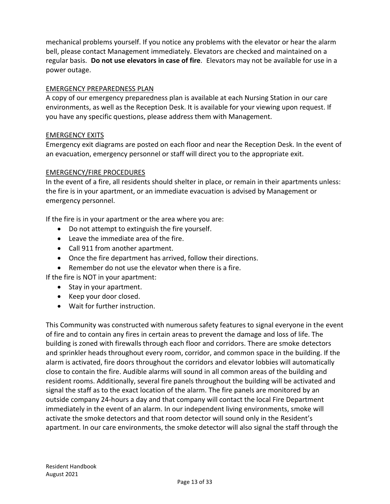mechanical problems yourself. If you notice any problems with the elevator or hear the alarm bell, please contact Management immediately. Elevators are checked and maintained on a regular basis. **Do not use elevators in case of fire**. Elevators may not be available for use in a power outage.

## EMERGENCY PREPAREDNESS PLAN

A copy of our emergency preparedness plan is available at each Nursing Station in our care environments, as well as the Reception Desk. It is available for your viewing upon request. If you have any specific questions, please address them with Management.

#### EMERGENCY EXITS

Emergency exit diagrams are posted on each floor and near the Reception Desk. In the event of an evacuation, emergency personnel or staff will direct you to the appropriate exit.

## EMERGENCY/FIRE PROCEDURES

In the event of a fire, all residents should shelter in place, or remain in their apartments unless: the fire is in your apartment, or an immediate evacuation is advised by Management or emergency personnel.

If the fire is in your apartment or the area where you are:

- Do not attempt to extinguish the fire yourself.
- Leave the immediate area of the fire.
- Call 911 from another apartment.
- Once the fire department has arrived, follow their directions.
- Remember do not use the elevator when there is a fire.

If the fire is NOT in your apartment:

- Stay in your apartment.
- Keep your door closed.
- Wait for further instruction.

This Community was constructed with numerous safety features to signal everyone in the event of fire and to contain any fires in certain areas to prevent the damage and loss of life. The building is zoned with firewalls through each floor and corridors. There are smoke detectors and sprinkler heads throughout every room, corridor, and common space in the building. If the alarm is activated, fire doors throughout the corridors and elevator lobbies will automatically close to contain the fire. Audible alarms will sound in all common areas of the building and resident rooms. Additionally, several fire panels throughout the building will be activated and signal the staff as to the exact location of the alarm. The fire panels are monitored by an outside company 24-hours a day and that company will contact the local Fire Department immediately in the event of an alarm. In our independent living environments, smoke will activate the smoke detectors and that room detector will sound only in the Resident's apartment. In our care environments, the smoke detector will also signal the staff through the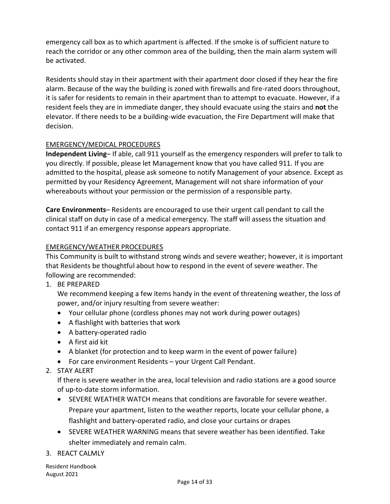emergency call box as to which apartment is affected. If the smoke is of sufficient nature to reach the corridor or any other common area of the building, then the main alarm system will be activated.

Residents should stay in their apartment with their apartment door closed if they hear the fire alarm. Because of the way the building is zoned with firewalls and fire-rated doors throughout, it is safer for residents to remain in their apartment than to attempt to evacuate. However, if a resident feels they are in immediate danger, they should evacuate using the stairs and **not** the elevator. If there needs to be a building-wide evacuation, the Fire Department will make that decision.

## EMERGENCY/MEDICAL PROCEDURES

**Independent Living**– If able, call 911 yourself as the emergency responders will prefer to talk to you directly. If possible, please let Management know that you have called 911. If you are admitted to the hospital, please ask someone to notify Management of your absence. Except as permitted by your Residency Agreement, Management will not share information of your whereabouts without your permission or the permission of a responsible party.

**Care Environments**– Residents are encouraged to use their urgent call pendant to call the clinical staff on duty in case of a medical emergency. The staff will assess the situation and contact 911 if an emergency response appears appropriate.

## EMERGENCY/WEATHER PROCEDURES

This Community is built to withstand strong winds and severe weather; however, it is important that Residents be thoughtful about how to respond in the event of severe weather. The following are recommended:

1. BE PREPARED

We recommend keeping a few items handy in the event of threatening weather, the loss of power, and/or injury resulting from severe weather:

- Your cellular phone (cordless phones may not work during power outages)
- A flashlight with batteries that work
- A battery-operated radio
- A first aid kit
- A blanket (for protection and to keep warm in the event of power failure)
- For care environment Residents your Urgent Call Pendant.
- 2. STAY ALERT

If there is severe weather in the area, local television and radio stations are a good source of up-to-date storm information.

- SEVERE WEATHER WATCH means that conditions are favorable for severe weather. Prepare your apartment, listen to the weather reports, locate your cellular phone, a flashlight and battery-operated radio, and close your curtains or drapes
- SEVERE WEATHER WARNING means that severe weather has been identified. Take shelter immediately and remain calm.
- 3. REACT CALMLY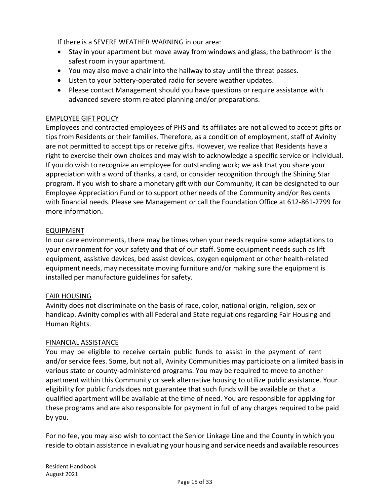If there is a SEVERE WEATHER WARNING in our area:

- Stay in your apartment but move away from windows and glass; the bathroom is the safest room in your apartment.
- You may also move a chair into the hallway to stay until the threat passes.
- Listen to your battery-operated radio for severe weather updates.
- Please contact Management should you have questions or require assistance with advanced severe storm related planning and/or preparations.

#### EMPLOYEE GIFT POLICY

Employees and contracted employees of PHS and its affiliates are not allowed to accept gifts or tips from Residents or their families. Therefore, as a condition of employment, staff of Avinity are not permitted to accept tips or receive gifts. However, we realize that Residents have a right to exercise their own choices and may wish to acknowledge a specific service or individual. If you do wish to recognize an employee for outstanding work; we ask that you share your appreciation with a word of thanks, a card, or consider recognition through the Shining Star program. If you wish to share a monetary gift with our Community, it can be designated to our Employee Appreciation Fund or to support other needs of the Community and/or Residents with financial needs. Please see Management or call the Foundation Office at 612-861-2799 for more information.

#### EQUIPMENT

In our care environments, there may be times when your needs require some adaptations to your environment for your safety and that of our staff. Some equipment needs such as lift equipment, assistive devices, bed assist devices, oxygen equipment or other health-related equipment needs, may necessitate moving furniture and/or making sure the equipment is installed per manufacture guidelines for safety.

#### FAIR HOUSING

Avinity does not discriminate on the basis of race, color, national origin, religion, sex or handicap. Avinity complies with all Federal and State regulations regarding Fair Housing and Human Rights.

#### FINANCIAL ASSISTANCE

You may be eligible to receive certain public funds to assist in the payment of rent and/or service fees. Some, but not all, Avinity Communities may participate on a limited basis in various state or county-administered programs. You may be required to move to another apartment within this Community or seek alternative housing to utilize public assistance. Your eligibility for public funds does not guarantee that such funds will be available or that a qualified apartment will be available at the time of need. You are responsible for applying for these programs and are also responsible for payment in full of any charges required to be paid by you.

For no fee, you may also wish to contact the Senior Linkage Line and the County in which you reside to obtain assistance in evaluating your housing and service needs and available resources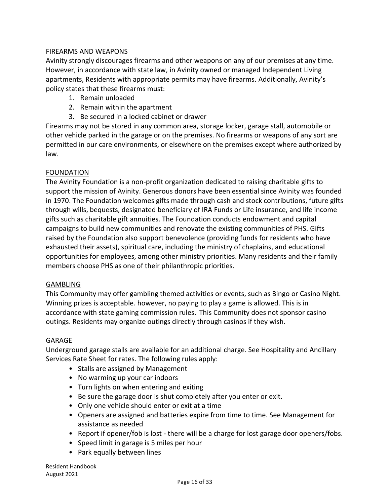## FIREARMS AND WEAPONS

Avinity strongly discourages firearms and other weapons on any of our premises at any time. However, in accordance with state law, in Avinity owned or managed Independent Living apartments, Residents with appropriate permits may have firearms. Additionally, Avinity's policy states that these firearms must:

- 1. Remain unloaded
- 2. Remain within the apartment
- 3. Be secured in a locked cabinet or drawer

Firearms may not be stored in any common area, storage locker, garage stall, automobile or other vehicle parked in the garage or on the premises. No firearms or weapons of any sort are permitted in our care environments, or elsewhere on the premises except where authorized by law.

#### FOUNDATION

The Avinity Foundation is a non-profit organization dedicated to raising charitable gifts to support the mission of Avinity. Generous donors have been essential since Avinity was founded in 1970. The Foundation welcomes gifts made through cash and stock contributions, future gifts through wills, bequests, designated beneficiary of IRA Funds or Life insurance, and life income gifts such as charitable gift annuities. The Foundation conducts endowment and capital campaigns to build new communities and renovate the existing communities of PHS. Gifts raised by the Foundation also support benevolence (providing funds for residents who have exhausted their assets), spiritual care, including the ministry of chaplains, and educational opportunities for employees, among other ministry priorities. Many residents and their family members choose PHS as one of their philanthropic priorities.

#### GAMBLING

This Community may offer gambling themed activities or events, such as Bingo or Casino Night. Winning prizes is acceptable. however, no paying to play a game is allowed. This is in accordance with state gaming commission rules. This Community does not sponsor casino outings. Residents may organize outings directly through casinos if they wish.

#### GARAGE

Underground garage stalls are available for an additional charge. See Hospitality and Ancillary Services Rate Sheet for rates. The following rules apply:

- Stalls are assigned by Management
- No warming up your car indoors
- Turn lights on when entering and exiting
- Be sure the garage door is shut completely after you enter or exit.
- Only one vehicle should enter or exit at a time
- Openers are assigned and batteries expire from time to time. See Management for assistance as needed
- Report if opener/fob is lost there will be a charge for lost garage door openers/fobs.
- Speed limit in garage is 5 miles per hour
- Park equally between lines

Resident Handbook August 2021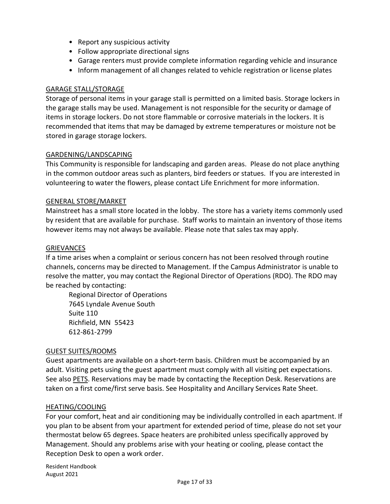- Report any suspicious activity
- Follow appropriate directional signs
- Garage renters must provide complete information regarding vehicle and insurance
- Inform management of all changes related to vehicle registration or license plates

#### GARAGE STALL/STORAGE

Storage of personal items in your garage stall is permitted on a limited basis. Storage lockers in the garage stalls may be used. Management is not responsible for the security or damage of items in storage lockers. Do not store flammable or corrosive materials in the lockers. It is recommended that items that may be damaged by extreme temperatures or moisture not be stored in garage storage lockers.

#### GARDENING/LANDSCAPING

This Community is responsible for landscaping and garden areas. Please do not place anything in the common outdoor areas such as planters, bird feeders or statues. If you are interested in volunteering to water the flowers, please contact Life Enrichment for more information.

#### GENERAL STORE/MARKET

Mainstreet has a small store located in the lobby. The store has a variety items commonly used by resident that are available for purchase. Staff works to maintain an inventory of those items however items may not always be available. Please note that sales tax may apply.

#### GRIEVANCES

If a time arises when a complaint or serious concern has not been resolved through routine channels, concerns may be directed to Management. If the Campus Administrator is unable to resolve the matter, you may contact the Regional Director of Operations (RDO). The RDO may be reached by contacting:

Regional Director of Operations 7645 Lyndale Avenue South Suite 110 Richfield, MN 55423 612-861-2799

#### GUEST SUITES/ROOMS

Guest apartments are available on a short-term basis. Children must be accompanied by an adult. Visiting pets using the guest apartment must comply with all visiting pet expectations. See also PETS. Reservations may be made by contacting the Reception Desk. Reservations are taken on a first come/first serve basis. See Hospitality and Ancillary Services Rate Sheet.

#### HEATING/COOLING

For your comfort, heat and air conditioning may be individually controlled in each apartment. If you plan to be absent from your apartment for extended period of time, please do not set your thermostat below 65 degrees. Space heaters are prohibited unless specifically approved by Management. Should any problems arise with your heating or cooling, please contact the Reception Desk to open a work order.

Resident Handbook August 2021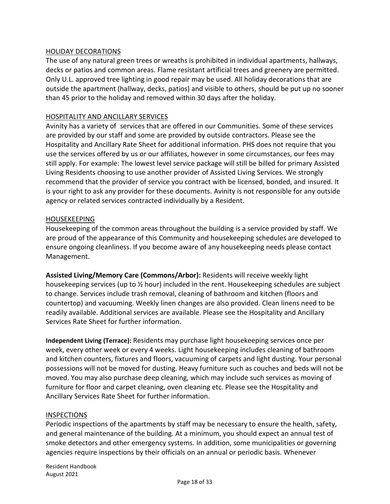#### HOLIDAY DECORATIONS

The use of any natural green trees or wreaths is prohibited in individual apartments, hallways, decks or patios and common areas. Flame resistant artificial trees and greenery are permitted. Only U.L. approved tree lighting in good repair may be used. All holiday decorations that are outside the apartment (hallway, decks, patios) and visible to others, should be put up no sooner than 45 prior to the holiday and removed within 30 days after the holiday.

#### HOSPITALITY AND ANCILLARY SERVICES

Avinity has a variety of services that are offered in our Communities. Some of these services are provided by our staff and some are provided by outside contractors. Please see the Hospitality and Ancillary Rate Sheet for additional information. PHS does not require that you use the services offered by us or our affiliates, however in some circumstances, our fees may still apply. For example: The lowest level service package will still be billed for primary Assisted Living Residents choosing to use another provider of Assisted Living Services. We strongly recommend that the provider of service you contract with be licensed, bonded, and insured. It is your right to ask any provider for these documents. Avinity is not responsible for any outside agency or related services contracted individually by a Resident.

#### HOUSEKEEPING

Housekeeping of the common areas throughout the building is a service provided by staff. We are proud of the appearance of this Community and housekeeping schedules are developed to ensure ongoing cleanliness. If you become aware of any housekeeping needs please contact Management.

**Assisted Living/Memory Care (Commons/Arbor):** Residents will receive weekly light housekeeping services (up to ½ hour) included in the rent. Housekeeping schedules are subject to change. Services include trash removal, cleaning of bathroom and kitchen (floors and countertop) and vacuuming. Weekly linen changes are also provided. Clean linens need to be readily available. Additional services are available. Please see the Hospitality and Ancillary Services Rate Sheet for further information.

**Independent Living (Terrace):** Residents may purchase light housekeeping services once per week, every other week or every 4 weeks. Light housekeeping includes cleaning of bathroom and kitchen counters, fixtures and floors, vacuuming of carpets and light dusting. Your personal possessions will not be moved for dusting. Heavy furniture such as couches and beds will not be moved. You may also purchase deep cleaning, which may include such services as moving of furniture for floor and carpet cleaning, oven cleaning etc. Please see the Hospitality and Ancillary Services Rate Sheet for further information.

#### INSPECTIONS

Periodic inspections of the apartments by staff may be necessary to ensure the health, safety, and general maintenance of the building. At a minimum, you should expect an annual test of smoke detectors and other emergency systems. In addition, some municipalities or governing agencies require inspections by their officials on an annual or periodic basis. Whenever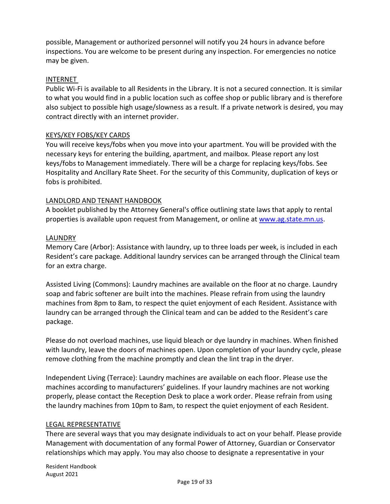possible, Management or authorized personnel will notify you 24 hours in advance before inspections. You are welcome to be present during any inspection. For emergencies no notice may be given.

## INTERNET

Public Wi-Fi is available to all Residents in the Library. It is not a secured connection. It is similar to what you would find in a public location such as coffee shop or public library and is therefore also subject to possible high usage/slowness as a result. If a private network is desired, you may contract directly with an internet provider.

#### KEYS/KEY FOBS/KEY CARDS

You will receive keys/fobs when you move into your apartment. You will be provided with the necessary keys for entering the building, apartment, and mailbox. Please report any lost keys/fobs to Management immediately. There will be a charge for replacing keys/fobs. See Hospitality and Ancillary Rate Sheet. For the security of this Community, duplication of keys or fobs is prohibited.

#### LANDLORD AND TENANT HANDBOOK

A booklet published by the Attorney General's office outlining state laws that apply to rental properties is available upon request from Management, or online at [www.ag.state.mn.us.](http://www.ag.state.mn.us/)

#### LAUNDRY

Memory Care (Arbor): Assistance with laundry, up to three loads per week, is included in each Resident's care package. Additional laundry services can be arranged through the Clinical team for an extra charge.

Assisted Living (Commons): Laundry machines are available on the floor at no charge. Laundry soap and fabric softener are built into the machines. Please refrain from using the laundry machines from 8pm to 8am, to respect the quiet enjoyment of each Resident. Assistance with laundry can be arranged through the Clinical team and can be added to the Resident's care package.

Please do not overload machines, use liquid bleach or dye laundry in machines. When finished with laundry, leave the doors of machines open. Upon completion of your laundry cycle, please remove clothing from the machine promptly and clean the lint trap in the dryer.

Independent Living (Terrace): Laundry machines are available on each floor. Please use the machines according to manufacturers' guidelines. If your laundry machines are not working properly, please contact the Reception Desk to place a work order. Please refrain from using the laundry machines from 10pm to 8am, to respect the quiet enjoyment of each Resident.

#### LEGAL REPRESENTATIVE

There are several ways that you may designate individuals to act on your behalf. Please provide Management with documentation of any formal Power of Attorney, Guardian or Conservator relationships which may apply. You may also choose to designate a representative in your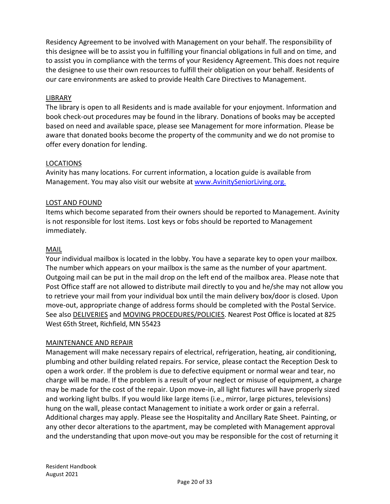Residency Agreement to be involved with Management on your behalf. The responsibility of this designee will be to assist you in fulfilling your financial obligations in full and on time, and to assist you in compliance with the terms of your Residency Agreement. This does not require the designee to use their own resources to fulfill their obligation on your behalf. Residents of our care environments are asked to provide Health Care Directives to Management.

## LIBRARY

The library is open to all Residents and is made available for your enjoyment. Information and book check-out procedures may be found in the library. Donations of books may be accepted based on need and available space, please see Management for more information. Please be aware that donated books become the property of the community and we do not promise to offer every donation for lending.

#### LOCATIONS

Avinity has many locations. For current information, a location guide is available from Management. You may also visit our website at [www.AvinitySeniorLiving.org.](http://www.avinityseniorliving.org./)

## LOST AND FOUND

Items which become separated from their owners should be reported to Management. Avinity is not responsible for lost items. Lost keys or fobs should be reported to Management immediately.

#### MAIL

Your individual mailbox is located in the lobby. You have a separate key to open your mailbox. The number which appears on your mailbox is the same as the number of your apartment. Outgoing mail can be put in the mail drop on the left end of the mailbox area. Please note that Post Office staff are not allowed to distribute mail directly to you and he/she may not allow you to retrieve your mail from your individual box until the main delivery box/door is closed. Upon move-out, appropriate change of address forms should be completed with the Postal Service. See also DELIVERIES and MOVING PROCEDURES/POLICIES. Nearest Post Office is located at 825 West 65th Street, Richfield, MN 55423

#### MAINTENANCE AND REPAIR

Management will make necessary repairs of electrical, refrigeration, heating, air conditioning, plumbing and other building related repairs. For service, please contact the Reception Desk to open a work order. If the problem is due to defective equipment or normal wear and tear, no charge will be made. If the problem is a result of your neglect or misuse of equipment, a charge may be made for the cost of the repair. Upon move-in, all light fixtures will have properly sized and working light bulbs. If you would like large items (i.e., mirror, large pictures, televisions) hung on the wall, please contact Management to initiate a work order or gain a referral. Additional charges may apply. Please see the Hospitality and Ancillary Rate Sheet. Painting, or any other decor alterations to the apartment, may be completed with Management approval and the understanding that upon move-out you may be responsible for the cost of returning it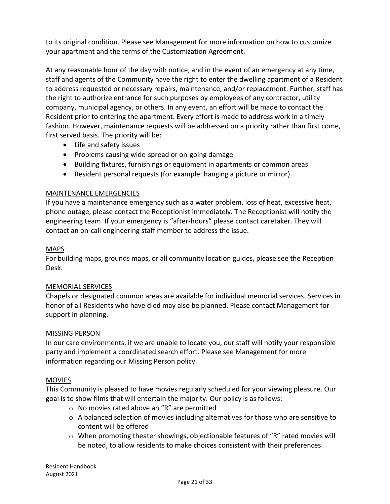to its original condition. Please see Management for more information on how to customize your apartment and the terms of the Customization Agreement.

At any reasonable hour of the day with notice, and in the event of an emergency at any time, staff and agents of the Community have the right to enter the dwelling apartment of a Resident to address requested or necessary repairs, maintenance, and/or replacement. Further, staff has the right to authorize entrance for such purposes by employees of any contractor, utility company, municipal agency, or others. In any event, an effort will be made to contact the Resident prior to entering the apartment. Every effort is made to address work in a timely fashion. However, maintenance requests will be addressed on a priority rather than first come, first served basis. The priority will be:

- Life and safety issues
- Problems causing wide-spread or on-going damage
- Building fixtures, furnishings or equipment in apartments or common areas
- Resident personal requests (for example: hanging a picture or mirror).

#### MAINTENANCE EMERGENCIES

If you have a maintenance emergency such as a water problem, loss of heat, excessive heat, phone outage, please contact the Receptionist immediately. The Receptionist will notify the engineering team. If your emergency is "after-hours" please contact caretaker. They will contact an on-call engineering staff member to address the issue.

#### MAPS

For building maps, grounds maps, or all community location guides, please see the Reception Desk.

#### MEMORIAL SERVICES

Chapels or designated common areas are available for individual memorial services. Services in honor of all Residents who have died may also be planned. Please contact Management for support in planning.

#### MISSING PERSON

In our care environments, if we are unable to locate you, our staff will notify your responsible party and implement a coordinated search effort. Please see Management for more information regarding our Missing Person policy.

#### MOVIES

This Community is pleased to have movies regularly scheduled for your viewing pleasure. Our goal is to show films that will entertain the majority. Our policy is as follows:

- o No movies rated above an "R" are permitted
- $\circ$  A balanced selection of movies including alternatives for those who are sensitive to content will be offered
- $\circ$  When promoting theater showings, objectionable features of "R" rated movies will be noted, to allow residents to make choices consistent with their preferences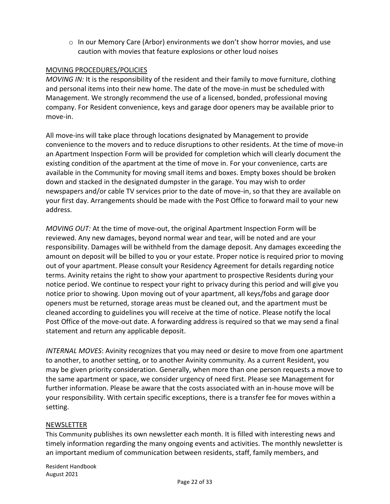$\circ$  In our Memory Care (Arbor) environments we don't show horror movies, and use caution with movies that feature explosions or other loud noises

## MOVING PROCEDURES/POLICIES

*MOVING IN:* It is the responsibility of the resident and their family to move furniture, clothing and personal items into their new home. The date of the move-in must be scheduled with Management. We strongly recommend the use of a licensed, bonded, professional moving company. For Resident convenience, keys and garage door openers may be available prior to move-in.

All move-ins will take place through locations designated by Management to provide convenience to the movers and to reduce disruptions to other residents. At the time of move-in an Apartment Inspection Form will be provided for completion which will clearly document the existing condition of the apartment at the time of move in. For your convenience, carts are available in the Community for moving small items and boxes. Empty boxes should be broken down and stacked in the designated dumpster in the garage. You may wish to order newspapers and/or cable TV services prior to the date of move-in, so that they are available on your first day. Arrangements should be made with the Post Office to forward mail to your new address.

*MOVING OUT:* At the time of move-out, the original Apartment Inspection Form will be reviewed. Any new damages, beyond normal wear and tear, will be noted and are your responsibility. Damages will be withheld from the damage deposit. Any damages exceeding the amount on deposit will be billed to you or your estate. Proper notice is required prior to moving out of your apartment. Please consult your Residency Agreement for details regarding notice terms. Avinity retains the right to show your apartment to prospective Residents during your notice period. We continue to respect your right to privacy during this period and will give you notice prior to showing. Upon moving out of your apartment, all keys/fobs and garage door openers must be returned, storage areas must be cleaned out, and the apartment must be cleaned according to guidelines you will receive at the time of notice. Please notify the local Post Office of the move-out date. A forwarding address is required so that we may send a final statement and return any applicable deposit.

*INTERNAL MOVES*: Avinity recognizes that you may need or desire to move from one apartment to another, to another setting, or to another Avinity community. As a current Resident, you may be given priority consideration. Generally, when more than one person requests a move to the same apartment or space, we consider urgency of need first. Please see Management for further information. Please be aware that the costs associated with an in-house move will be your responsibility. With certain specific exceptions, there is a transfer fee for moves within a setting.

#### NEWSLETTER

This Community publishes its own newsletter each month. It is filled with interesting news and timely information regarding the many ongoing events and activities. The monthly newsletter is an important medium of communication between residents, staff, family members, and

Resident Handbook August 2021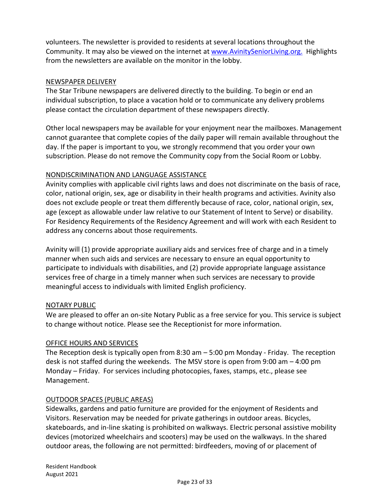volunteers. The newsletter is provided to residents at several locations throughout the Community. It may also be viewed on the internet at [www.AvinitySeniorLiving.org.](http://www.avinityseniorliving.org./) Highlights from the newsletters are available on the monitor in the lobby.

## NEWSPAPER DELIVERY

The Star Tribune newspapers are delivered directly to the building. To begin or end an individual subscription, to place a vacation hold or to communicate any delivery problems please contact the circulation department of these newspapers directly.

Other local newspapers may be available for your enjoyment near the mailboxes. Management cannot guarantee that complete copies of the daily paper will remain available throughout the day. If the paper is important to you, we strongly recommend that you order your own subscription. Please do not remove the Community copy from the Social Room or Lobby.

## NONDISCRIMINATION AND LANGUAGE ASSISTANCE

Avinity complies with applicable civil rights laws and does not discriminate on the basis of race, color, national origin, sex, age or disability in their health programs and activities. Avinity also does not exclude people or treat them differently because of race, color, national origin, sex, age (except as allowable under law relative to our Statement of Intent to Serve) or disability. For Residency Requirements of the Residency Agreement and will work with each Resident to address any concerns about those requirements.

Avinity will (1) provide appropriate auxiliary aids and services free of charge and in a timely manner when such aids and services are necessary to ensure an equal opportunity to participate to individuals with disabilities, and (2) provide appropriate language assistance services free of charge in a timely manner when such services are necessary to provide meaningful access to individuals with limited English proficiency.

#### NOTARY PUBLIC

We are pleased to offer an on-site Notary Public as a free service for you. This service is subject to change without notice. Please see the Receptionist for more information.

#### OFFICE HOURS AND SERVICES

The Reception desk is typically open from 8:30 am – 5:00 pm Monday - Friday. The reception desk is not staffed during the weekends. The MSV store is open from 9:00 am – 4:00 pm Monday – Friday. For services including photocopies, faxes, stamps, etc., please see Management.

#### OUTDOOR SPACES (PUBLIC AREAS)

Sidewalks, gardens and patio furniture are provided for the enjoyment of Residents and Visitors. Reservation may be needed for private gatherings in outdoor areas. Bicycles, skateboards, and in-line skating is prohibited on walkways. Electric personal assistive mobility devices (motorized wheelchairs and scooters) may be used on the walkways. In the shared outdoor areas, the following are not permitted: birdfeeders, moving of or placement of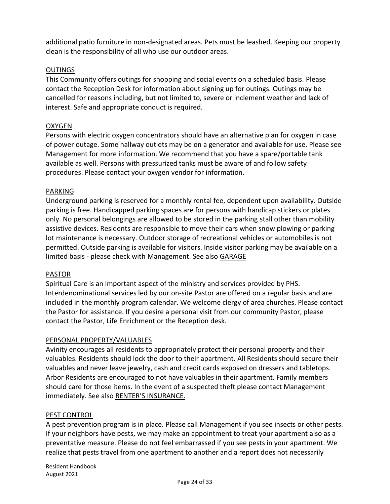additional patio furniture in non-designated areas. Pets must be leashed. Keeping our property clean is the responsibility of all who use our outdoor areas.

## OUTINGS

This Community offers outings for shopping and social events on a scheduled basis. Please contact the Reception Desk for information about signing up for outings. Outings may be cancelled for reasons including, but not limited to, severe or inclement weather and lack of interest. Safe and appropriate conduct is required.

## OXYGEN

Persons with electric oxygen concentrators should have an alternative plan for oxygen in case of power outage. Some hallway outlets may be on a generator and available for use. Please see Management for more information. We recommend that you have a spare/portable tank available as well. Persons with pressurized tanks must be aware of and follow safety procedures. Please contact your oxygen vendor for information.

#### PARKING

Underground parking is reserved for a monthly rental fee, dependent upon availability. Outside parking is free. Handicapped parking spaces are for persons with handicap stickers or plates only. No personal belongings are allowed to be stored in the parking stall other than mobility assistive devices. Residents are responsible to move their cars when snow plowing or parking lot maintenance is necessary. Outdoor storage of recreational vehicles or automobiles is not permitted. Outside parking is available for visitors. Inside visitor parking may be available on a limited basis - please check with Management. See also GARAGE

#### PASTOR

Spiritual Care is an important aspect of the ministry and services provided by PHS. Interdenominational services led by our on-site Pastor are offered on a regular basis and are included in the monthly program calendar. We welcome clergy of area churches. Please contact the Pastor for assistance. If you desire a personal visit from our community Pastor, please contact the Pastor, Life Enrichment or the Reception desk.

#### PERSONAL PROPERTY/VALUABLES

Avinity encourages all residents to appropriately protect their personal property and their valuables. Residents should lock the door to their apartment. All Residents should secure their valuables and never leave jewelry, cash and credit cards exposed on dressers and tabletops. Arbor Residents are encouraged to not have valuables in their apartment. Family members should care for those items. In the event of a suspected theft please contact Management immediately. See also RENTER'S INSURANCE.

#### PEST CONTROL

A pest prevention program is in place. Please call Management if you see insects or other pests. If your neighbors have pests, we may make an appointment to treat your apartment also as a preventative measure. Please do not feel embarrassed if you see pests in your apartment. We realize that pests travel from one apartment to another and a report does not necessarily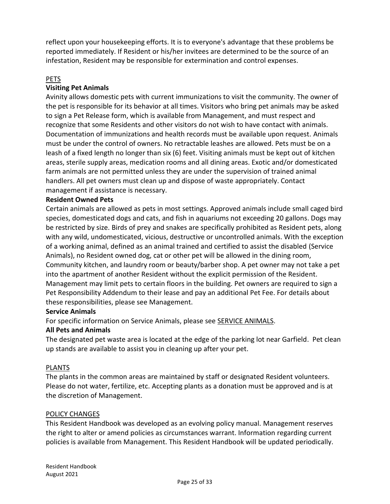reflect upon your housekeeping efforts. It is to everyone's advantage that these problems be reported immediately. If Resident or his/her invitees are determined to be the source of an infestation, Resident may be responsible for extermination and control expenses.

## PETS

## **Visiting Pet Animals**

Avinity allows domestic pets with current immunizations to visit the community. The owner of the pet is responsible for its behavior at all times. Visitors who bring pet animals may be asked to sign a Pet Release form, which is available from Management, and must respect and recognize that some Residents and other visitors do not wish to have contact with animals. Documentation of immunizations and health records must be available upon request. Animals must be under the control of owners. No retractable leashes are allowed. Pets must be on a leash of a fixed length no longer than six (6) feet. Visiting animals must be kept out of kitchen areas, sterile supply areas, medication rooms and all dining areas. Exotic and/or domesticated farm animals are not permitted unless they are under the supervision of trained animal handlers. All pet owners must clean up and dispose of waste appropriately. Contact management if assistance is necessary.

## **Resident Owned Pets**

Certain animals are allowed as pets in most settings. Approved animals include small caged bird species, domesticated dogs and cats, and fish in aquariums not exceeding 20 gallons. Dogs may be restricted by size. Birds of prey and snakes are specifically prohibited as Resident pets, along with any wild, undomesticated, vicious, destructive or uncontrolled animals. With the exception of a working animal, defined as an animal trained and certified to assist the disabled (Service Animals), no Resident owned dog, cat or other pet will be allowed in the dining room, Community kitchen, and laundry room or beauty/barber shop. A pet owner may not take a pet into the apartment of another Resident without the explicit permission of the Resident. Management may limit pets to certain floors in the building. Pet owners are required to sign a Pet Responsibility Addendum to their lease and pay an additional Pet Fee. For details about these responsibilities, please see Management.

#### **Service Animals**

For specific information on Service Animals, please see SERVICE ANIMALS.

#### **All Pets and Animals**

The designated pet waste area is located at the edge of the parking lot near Garfield. Pet clean up stands are available to assist you in cleaning up after your pet.

## PLANTS

The plants in the common areas are maintained by staff or designated Resident volunteers. Please do not water, fertilize, etc. Accepting plants as a donation must be approved and is at the discretion of Management.

#### POLICY CHANGES

This Resident Handbook was developed as an evolving policy manual. Management reserves the right to alter or amend policies as circumstances warrant. Information regarding current policies is available from Management. This Resident Handbook will be updated periodically.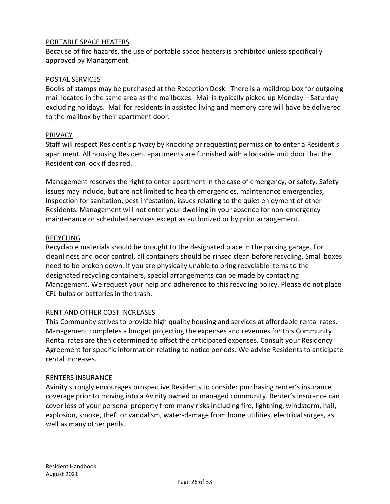## PORTABLE SPACE HEATERS

Because of fire hazards, the use of portable space heaters is prohibited unless specifically approved by Management.

#### POSTAL SERVICES

Books of stamps may be purchased at the Reception Desk. There is a maildrop box for outgoing mail located in the same area as the mailboxes. Mail is typically picked up Monday – Saturday excluding holidays. Mail for residents in assisted living and memory care will have be delivered to the mailbox by their apartment door.

#### **PRIVACY**

Staff will respect Resident's privacy by knocking or requesting permission to enter a Resident's apartment. All housing Resident apartments are furnished with a lockable unit door that the Resident can lock if desired.

Management reserves the right to enter apartment in the case of emergency, or safety. Safety issues may include, but are not limited to health emergencies, maintenance emergencies, inspection for sanitation, pest infestation, issues relating to the quiet enjoyment of other Residents. Management will not enter your dwelling in your absence for non-emergency maintenance or scheduled services except as authorized or by prior arrangement.

#### RECYCLING

Recyclable materials should be brought to the designated place in the parking garage. For cleanliness and odor control, all containers should be rinsed clean before recycling. Small boxes need to be broken down. If you are physically unable to bring recyclable items to the designated recycling containers, special arrangements can be made by contacting Management. We request your help and adherence to this recycling policy. Please do not place CFL bulbs or batteries in the trash.

#### RENT AND OTHER COST INCREASES

This Community strives to provide high quality housing and services at affordable rental rates. Management completes a budget projecting the expenses and revenues for this Community. Rental rates are then determined to offset the anticipated expenses. Consult your Residency Agreement for specific information relating to notice periods. We advise Residents to anticipate rental increases.

#### RENTERS INSURANCE

Avinity strongly encourages prospective Residents to consider purchasing renter's insurance coverage prior to moving into a Avinity owned or managed community. Renter's insurance can cover loss of your personal property from many risks including fire, lightning, windstorm, hail, explosion, smoke, theft or vandalism, water-damage from home utilities, electrical surges, as well as many other perils.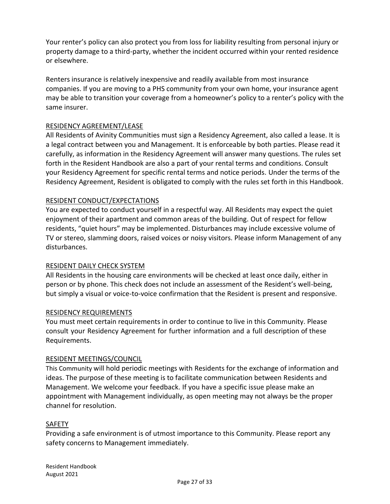Your renter's policy can also protect you from loss for liability resulting from personal injury or property damage to a third-party, whether the incident occurred within your rented residence or elsewhere.

Renters insurance is relatively inexpensive and readily available from most insurance companies. If you are moving to a PHS community from your own home, your insurance agent may be able to transition your coverage from a homeowner's policy to a renter's policy with the same insurer.

## RESIDENCY AGREEMENT/LEASE

All Residents of Avinity Communities must sign a Residency Agreement, also called a lease. It is a legal contract between you and Management. It is enforceable by both parties. Please read it carefully, as information in the Residency Agreement will answer many questions. The rules set forth in the Resident Handbook are also a part of your rental terms and conditions. Consult your Residency Agreement for specific rental terms and notice periods. Under the terms of the Residency Agreement, Resident is obligated to comply with the rules set forth in this Handbook.

## RESIDENT CONDUCT/EXPECTATIONS

You are expected to conduct yourself in a respectful way. All Residents may expect the quiet enjoyment of their apartment and common areas of the building. Out of respect for fellow residents, "quiet hours" may be implemented. Disturbances may include excessive volume of TV or stereo, slamming doors, raised voices or noisy visitors. Please inform Management of any disturbances.

#### RESIDENT DAILY CHECK SYSTEM

All Residents in the housing care environments will be checked at least once daily, either in person or by phone. This check does not include an assessment of the Resident's well-being, but simply a visual or voice-to-voice confirmation that the Resident is present and responsive.

#### RESIDENCY REQUIREMENTS

You must meet certain requirements in order to continue to live in this Community. Please consult your Residency Agreement for further information and a full description of these Requirements.

#### RESIDENT MEETINGS/COUNCIL

This Community will hold periodic meetings with Residents for the exchange of information and ideas. The purpose of these meeting is to facilitate communication between Residents and Management. We welcome your feedback. If you have a specific issue please make an appointment with Management individually, as open meeting may not always be the proper channel for resolution.

#### SAFETY

Providing a safe environment is of utmost importance to this Community. Please report any safety concerns to Management immediately.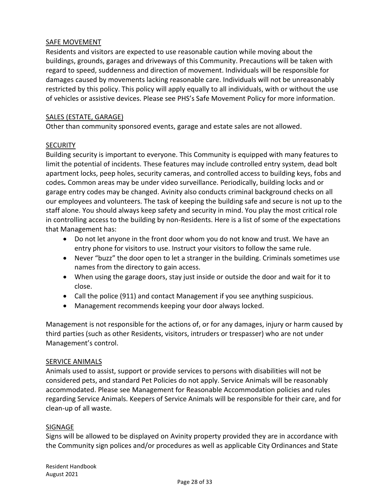## SAFE MOVEMENT

Residents and visitors are expected to use reasonable caution while moving about the buildings, grounds, garages and driveways of this Community. Precautions will be taken with regard to speed, suddenness and direction of movement. Individuals will be responsible for damages caused by movements lacking reasonable care. Individuals will not be unreasonably restricted by this policy. This policy will apply equally to all individuals, with or without the use of vehicles or assistive devices. Please see PHS's Safe Movement Policy for more information.

## SALES (ESTATE, GARAGE)

Other than community sponsored events, garage and estate sales are not allowed.

## **SECURITY**

Building security is important to everyone. This Community is equipped with many features to limit the potential of incidents. These features may include controlled entry system, dead bolt apartment locks, peep holes, security cameras, and controlled access to building keys, fobs and codes*.* Common areas may be under video surveillance. Periodically, building locks and or garage entry codes may be changed. Avinity also conducts criminal background checks on all our employees and volunteers. The task of keeping the building safe and secure is not up to the staff alone. You should always keep safety and security in mind. You play the most critical role in controlling access to the building by non-Residents. Here is a list of some of the expectations that Management has:

- Do not let anyone in the front door whom you do not know and trust. We have an entry phone for visitors to use. Instruct your visitors to follow the same rule.
- Never "buzz" the door open to let a stranger in the building. Criminals sometimes use names from the directory to gain access.
- When using the garage doors, stay just inside or outside the door and wait for it to close.
- Call the police (911) and contact Management if you see anything suspicious.
- Management recommends keeping your door always locked.

Management is not responsible for the actions of, or for any damages, injury or harm caused by third parties (such as other Residents, visitors, intruders or trespasser) who are not under Management's control.

#### SERVICE ANIMALS

Animals used to assist, support or provide services to persons with disabilities will not be considered pets, and standard Pet Policies do not apply. Service Animals will be reasonably accommodated. Please see Management for Reasonable Accommodation policies and rules regarding Service Animals. Keepers of Service Animals will be responsible for their care, and for clean-up of all waste.

#### SIGNAGE

Signs will be allowed to be displayed on Avinity property provided they are in accordance with the Community sign polices and/or procedures as well as applicable City Ordinances and State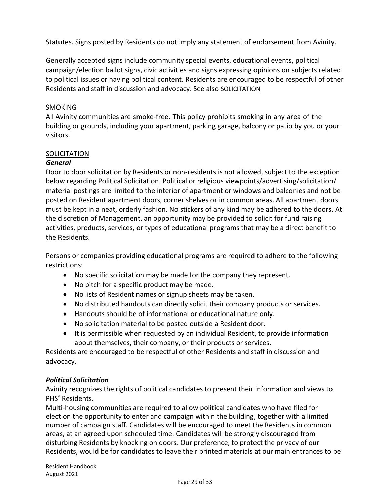Statutes. Signs posted by Residents do not imply any statement of endorsement from Avinity.

Generally accepted signs include community special events, educational events, political campaign/election ballot signs, civic activities and signs expressing opinions on subjects related to political issues or having political content. Residents are encouraged to be respectful of other Residents and staff in discussion and advocacy. See also SOLICITATION

## **SMOKING**

All Avinity communities are smoke-free. This policy prohibits smoking in any area of the building or grounds, including your apartment, parking garage, balcony or patio by you or your visitors.

# **SOLICITATION**

## *General*

Door to door solicitation by Residents or non-residents is not allowed, subject to the exception below regarding Political Solicitation. Political or religious viewpoints/advertising/solicitation/ material postings are limited to the interior of apartment or windows and balconies and not be posted on Resident apartment doors, corner shelves or in common areas. All apartment doors must be kept in a neat, orderly fashion. No stickers of any kind may be adhered to the doors. At the discretion of Management, an opportunity may be provided to solicit for fund raising activities, products, services, or types of educational programs that may be a direct benefit to the Residents.

Persons or companies providing educational programs are required to adhere to the following restrictions:

- No specific solicitation may be made for the company they represent.
- No pitch for a specific product may be made.
- No lists of Resident names or signup sheets may be taken.
- No distributed handouts can directly solicit their company products or services.
- Handouts should be of informational or educational nature only.
- No solicitation material to be posted outside a Resident door.
- It is permissible when requested by an individual Resident, to provide information about themselves, their company, or their products or services.

Residents are encouraged to be respectful of other Residents and staff in discussion and advocacy.

#### *Political Solicitation*

Avinity recognizes the rights of political candidates to present their information and views to PHS' Residents**.** 

Multi-housing communities are required to allow political candidates who have filed for election the opportunity to enter and campaign within the building, together with a limited number of campaign staff. Candidates will be encouraged to meet the Residents in common areas, at an agreed upon scheduled time. Candidates will be strongly discouraged from disturbing Residents by knocking on doors. Our preference, to protect the privacy of our Residents, would be for candidates to leave their printed materials at our main entrances to be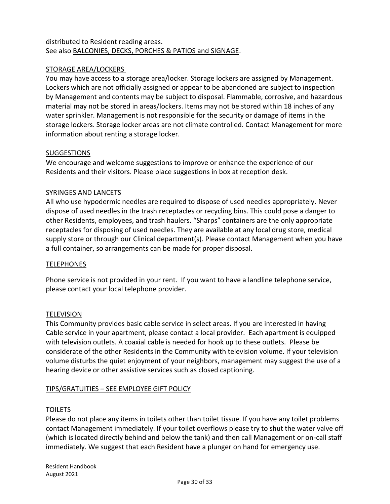## distributed to Resident reading areas. See also BALCONIES, DECKS, PORCHES & PATIOS and SIGNAGE.

## STORAGE AREA/LOCKERS

You may have access to a storage area/locker. Storage lockers are assigned by Management. Lockers which are not officially assigned or appear to be abandoned are subject to inspection by Management and contents may be subject to disposal. Flammable, corrosive, and hazardous material may not be stored in areas/lockers. Items may not be stored within 18 inches of any water sprinkler. Management is not responsible for the security or damage of items in the storage lockers. Storage locker areas are not climate controlled. Contact Management for more information about renting a storage locker.

#### **SUGGESTIONS**

We encourage and welcome suggestions to improve or enhance the experience of our Residents and their visitors. Please place suggestions in box at reception desk.

#### SYRINGES AND LANCETS

All who use hypodermic needles are required to dispose of used needles appropriately. Never dispose of used needles in the trash receptacles or recycling bins. This could pose a danger to other Residents, employees, and trash haulers. "Sharps" containers are the only appropriate receptacles for disposing of used needles. They are available at any local drug store, medical supply store or through our Clinical department(s). Please contact Management when you have a full container, so arrangements can be made for proper disposal.

#### **TELEPHONES**

Phone service is not provided in your rent. If you want to have a landline telephone service, please contact your local telephone provider.

#### **TELEVISION**

This Community provides basic cable service in select areas. If you are interested in having Cable service in your apartment, please contact a local provider. Each apartment is equipped with television outlets. A coaxial cable is needed for hook up to these outlets. Please be considerate of the other Residents in the Community with television volume. If your television volume disturbs the quiet enjoyment of your neighbors, management may suggest the use of a hearing device or other assistive services such as closed captioning.

#### TIPS/GRATUITIES – SEE EMPLOYEE GIFT POLICY

#### TOILETS

Please do not place any items in toilets other than toilet tissue. If you have any toilet problems contact Management immediately. If your toilet overflows please try to shut the water valve off (which is located directly behind and below the tank) and then call Management or on-call staff immediately. We suggest that each Resident have a plunger on hand for emergency use.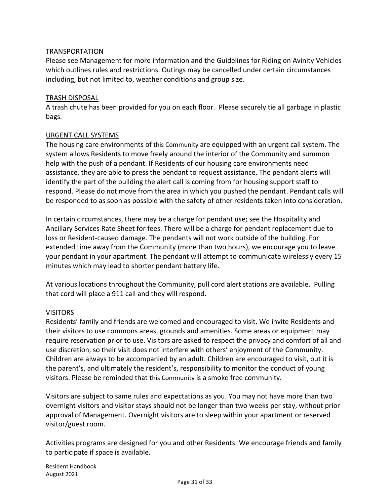#### TRANSPORTATION

Please see Management for more information and the Guidelines for Riding on Avinity Vehicles which outlines rules and restrictions. Outings may be cancelled under certain circumstances including, but not limited to, weather conditions and group size.

#### TRASH DISPOSAL

A trash chute has been provided for you on each floor. Please securely tie all garbage in plastic bags.

#### URGENT CALL SYSTEMS

The housing care environments of this Community are equipped with an urgent call system. The system allows Residents to move freely around the interior of the Community and summon help with the push of a pendant. If Residents of our housing care environments need assistance, they are able to press the pendant to request assistance. The pendant alerts will identify the part of the building the alert call is coming from for housing support staff to respond. Please do not move from the area in which you pushed the pendant. Pendant calls will be responded to as soon as possible with the safety of other residents taken into consideration.

In certain circumstances, there may be a charge for pendant use; see the Hospitality and Ancillary Services Rate Sheet for fees. There will be a charge for pendant replacement due to loss or Resident-caused damage. The pendants will not work outside of the building. For extended time away from the Community (more than two hours), we encourage you to leave your pendant in your apartment. The pendant will attempt to communicate wirelessly every 15 minutes which may lead to shorter pendant battery life.

At various locations throughout the Community, pull cord alert stations are available. Pulling that cord will place a 911 call and they will respond.

#### VISITORS

Residents' family and friends are welcomed and encouraged to visit. We invite Residents and their visitors to use commons areas, grounds and amenities. Some areas or equipment may require reservation prior to use. Visitors are asked to respect the privacy and comfort of all and use discretion, so their visit does not interfere with others' enjoyment of the Community. Children are always to be accompanied by an adult. Children are encouraged to visit, but it is the parent's, and ultimately the resident's, responsibility to monitor the conduct of young visitors. Please be reminded that this Community is a smoke free community.

Visitors are subject to same rules and expectations as you. You may not have more than two overnight visitors and visitor stays should not be longer than two weeks per stay, without prior approval of Management. Overnight visitors are to sleep within your apartment or reserved visitor/guest room.

Activities programs are designed for you and other Residents. We encourage friends and family to participate if space is available.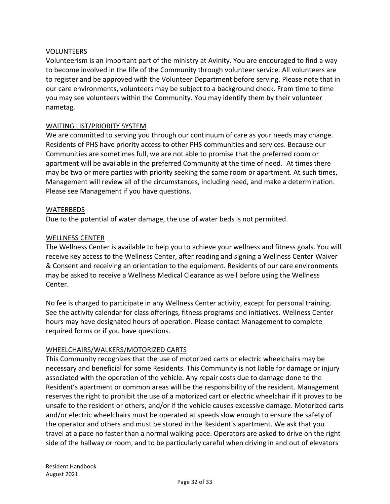#### VOLUNTEERS

Volunteerism is an important part of the ministry at Avinity. You are encouraged to find a way to become involved in the life of the Community through volunteer service. All volunteers are to register and be approved with the Volunteer Department before serving. Please note that in our care environments, volunteers may be subject to a background check. From time to time you may see volunteers within the Community. You may identify them by their volunteer nametag.

#### WAITING LIST/PRIORITY SYSTEM

We are committed to serving you through our continuum of care as your needs may change. Residents of PHS have priority access to other PHS communities and services. Because our Communities are sometimes full, we are not able to promise that the preferred room or apartment will be available in the preferred Community at the time of need. At times there may be two or more parties with priority seeking the same room or apartment. At such times, Management will review all of the circumstances, including need, and make a determination. Please see Management if you have questions.

#### WATERBEDS

Due to the potential of water damage, the use of water beds is not permitted.

#### WELLNESS CENTER

The Wellness Center is available to help you to achieve your wellness and fitness goals. You will receive key access to the Wellness Center, after reading and signing a Wellness Center Waiver & Consent and receiving an orientation to the equipment. Residents of our care environments may be asked to receive a Wellness Medical Clearance as well before using the Wellness Center.

No fee is charged to participate in any Wellness Center activity, except for personal training. See the activity calendar for class offerings, fitness programs and initiatives. Wellness Center hours may have designated hours of operation. Please contact Management to complete required forms or if you have questions.

#### WHEELCHAIRS/WALKERS/MOTORIZED CARTS

This Community recognizes that the use of motorized carts or electric wheelchairs may be necessary and beneficial for some Residents. This Community is not liable for damage or injury associated with the operation of the vehicle. Any repair costs due to damage done to the Resident's apartment or common areas will be the responsibility of the resident. Management reserves the right to prohibit the use of a motorized cart or electric wheelchair if it proves to be unsafe to the resident or others, and/or if the vehicle causes excessive damage. Motorized carts and/or electric wheelchairs must be operated at speeds slow enough to ensure the safety of the operator and others and must be stored in the Resident's apartment. We ask that you travel at a pace no faster than a normal walking pace. Operators are asked to drive on the right side of the hallway or room, and to be particularly careful when driving in and out of elevators